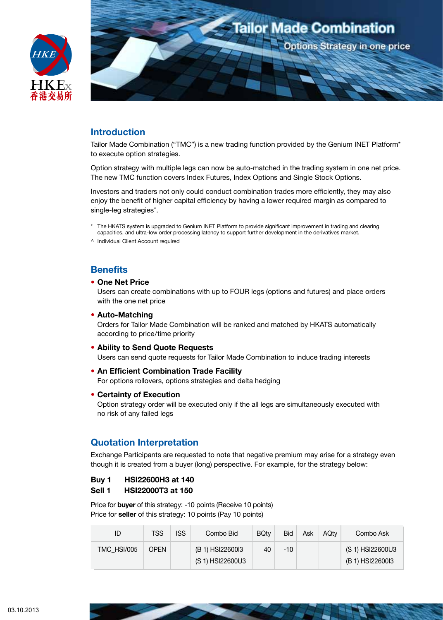



# **Introduction**

Tailor Made Combination ("TMC") is a new trading function provided by the Genium INET Platform\* to execute option strategies.

Option strategy with multiple legs can now be auto-matched in the trading system in one net price. The new TMC function covers Index Futures, Index Options and Single Stock Options.

Investors and traders not only could conduct combination trades more efficiently, they may also enjoy the benefit of higher capital efficiency by having a lower required margin as compared to single-leg strategies<sup>^</sup>.

- \* The HKATS system is upgraded to Genium INET Platform to provide significant improvement in trading and clearing capacities, and ultra-low order processing latency to support further development in the derivatives market.
- ^ Individual Client Account required

# **Benefits**

### **• One Net Price**

Users can create combinations with up to FOUR legs (options and futures) and place orders with the one net price

#### **• Auto-Matching**

Orders for Tailor Made Combination will be ranked and matched by HKATS automatically according to price/time priority

#### **• Ability to Send Quote Requests**

Users can send quote requests for Tailor Made Combination to induce trading interests

- **• An Efficient Combination Trade Facility** For options rollovers, options strategies and delta hedging
- **• Certainty of Execution**

Option strategy order will be executed only if the all legs are simultaneously executed with no risk of any failed legs

# **Quotation Interpretation**

Exchange Participants are requested to note that negative premium may arise for a strategy even though it is created from a buyer (long) perspective. For example, for the strategy below:

### **Buy 1 HSI22600H3 at 140**

#### **Sell 1 HSI22000T3 at 150**

Price for **buyer** of this strategy: -10 points (Receive 10 points) Price for **seller** of this strategy: 10 points (Pay 10 points)

| ID                 | TSS         | <b>ISS</b> | Combo Bid                            | <b>BQtv</b> | <b>Bid</b> | Ask | AQtv | Combo Ask                            |
|--------------------|-------------|------------|--------------------------------------|-------------|------------|-----|------|--------------------------------------|
| <b>TMC HSI/005</b> | <b>OPFN</b> |            | (B 1) HSI22600I3<br>(S 1) HSI22600U3 | 40          | $-10^{-}$  |     |      | (S 1) HSI22600U3<br>(B 1) HSI22600I3 |